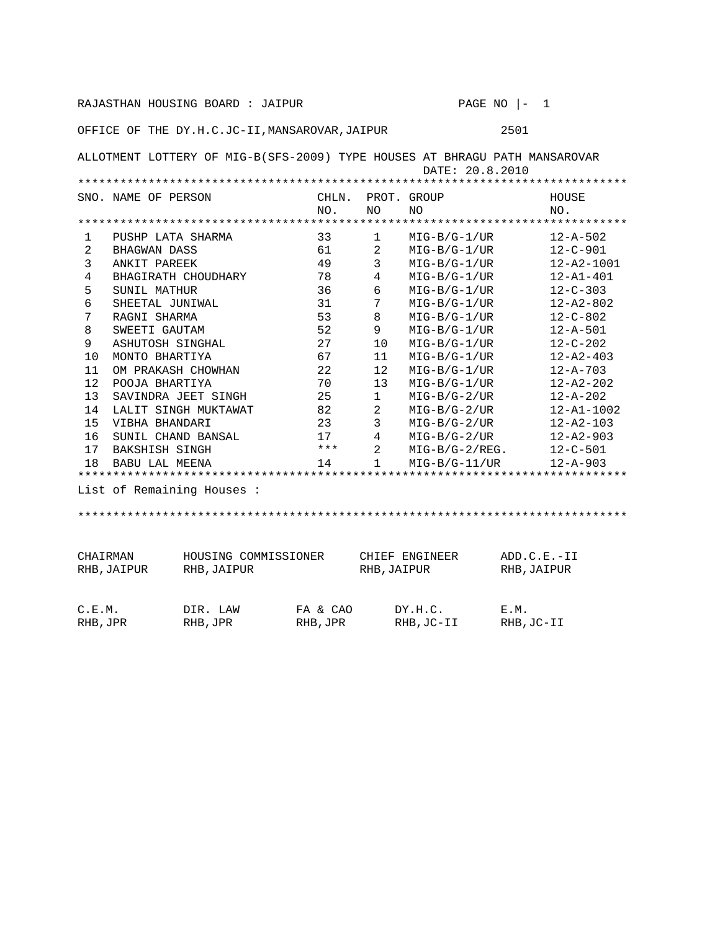RAJASTHAN HOUSING BOARD : JAIPUR PAGE NO  $|-1$ OFFICE OF THE DY.H.C.JC-II,MANSAROVAR,JAIPUR 2501 ALLOTMENT LOTTERY OF MIG-B(SFS-2009) TYPE HOUSES AT BHRAGU PATH MANSAROVAR DATE: 20.8.2010 \*\*\*\*\*\*\*\*\*\*\*\*\*\*\*\*\*\*\*\*\*\*\*\*\*\*\*\*\*\*\*\*\*\*\*\*\*\*\*\*\*\*\*\*\*\*\*\*\*\*\*\*\*\*\*\*\*\*\*\*\*\*\*\*\*\*\*\*\*\*\*\*\*\*\*\*\*\* SNO. NAME OF PERSON CHLN. PROT. GROUP HOUSE NO. NO NO NO. \*\*\*\*\*\*\*\*\*\*\*\*\*\*\*\*\*\*\*\*\*\*\*\*\*\*\*\*\*\*\*\*\*\*\*\*\*\*\*\*\*\*\*\*\*\*\*\*\*\*\*\*\*\*\*\*\*\*\*\*\*\*\*\*\*\*\*\*\*\*\*\*\*\*\*\*\*\* 1 PUSHP LATA SHARMA 33 1 MIG-B/G-1/UR 12-A-502 2 BHAGWAN DASS 61 2 MIG-B/G-1/UR 12-C-901 3 ANKIT PAREEK 12-A2-1001<br>4 BHAGIRATH CHOUDHARY 78 4 MIG-B/G-1/UR 12-A1-401 4 BHAGIRATH CHOUDHARY 78 4 MIG-B/G-1/UR 12-A1-401 5 SUNIL MATHUR 36 6 MIG-B/G-1/UR 12-C-303 6 SHEETAL JUNIWAL 31 7 MIG-B/G-1/UR 12-A2-802 7 RAGNI SHARMA 53 8 MIG-B/G-1/UR 12-C-802 8 SWEETI GAUTAM 52 9 MIG-B/G-1/UR 12-A-501 9 ASHUTOSH SINGHAL 27 10 MIG-B/G-1/UR 12-C-202 10 MONTO BHARTIYA 67 11 MIG-B/G-1/UR 12-A2-403 11 OM PRAKASH CHOWHAN 22 12 MIG-B/G-1/UR 12-A-703 12 POOJA BHARTIYA 70 13 MIG-B/G-1/UR 12-A2-202 13 SAVINDRA JEET SINGH 25 1 MIG-B/G-2/UR 12-A-202 14 LALIT SINGH MUKTAWAT 82 2 MIG-B/G-2/UR 12-A1-1002 15 VIBHA BHANDARI 23 3 MIG-B/G-2/UR 16 SUNIL CHAND BANSAL 17 4 MIG-B/G-2/UR 12-A2-903 17 BAKSHISH SINGH \*\*\* 2 MIG-B/G-2/REG. 12-C-501 18 BABU LAL MEENA 14 1 MIG-B/G-11/UR 12-A-903 \*\*\*\*\*\*\*\*\*\*\*\*\*\*\*\*\*\*\*\*\*\*\*\*\*\*\*\*\*\*\*\*\*\*\*\*\*\*\*\*\*\*\*\*\*\*\*\*\*\*\*\*\*\*\*\*\*\*\*\*\*\*\*\*\*\*\*\*\*\*\*\*\*\*\*\*\*\* List of Remaining Houses : \*\*\*\*\*\*\*\*\*\*\*\*\*\*\*\*\*\*\*\*\*\*\*\*\*\*\*\*\*\*\*\*\*\*\*\*\*\*\*\*\*\*\*\*\*\*\*\*\*\*\*\*\*\*\*\*\*\*\*\*\*\*\*\*\*\*\*\*\*\*\*\*\*\*\*\*\*\* CHAIRMAN HOUSING COMMISSIONER CHIEF ENGINEER ADD.C.E.-II RHB,JAIPUR RHB,JAIPUR RHB,JAIPUR RHB,JAIPUR C.E.M. DIR. LAW FA & CAO DY.H.C. E.M. RHB,JPR RHB,JPR RHB,JPR RHB,JC-II RHB,JC-II